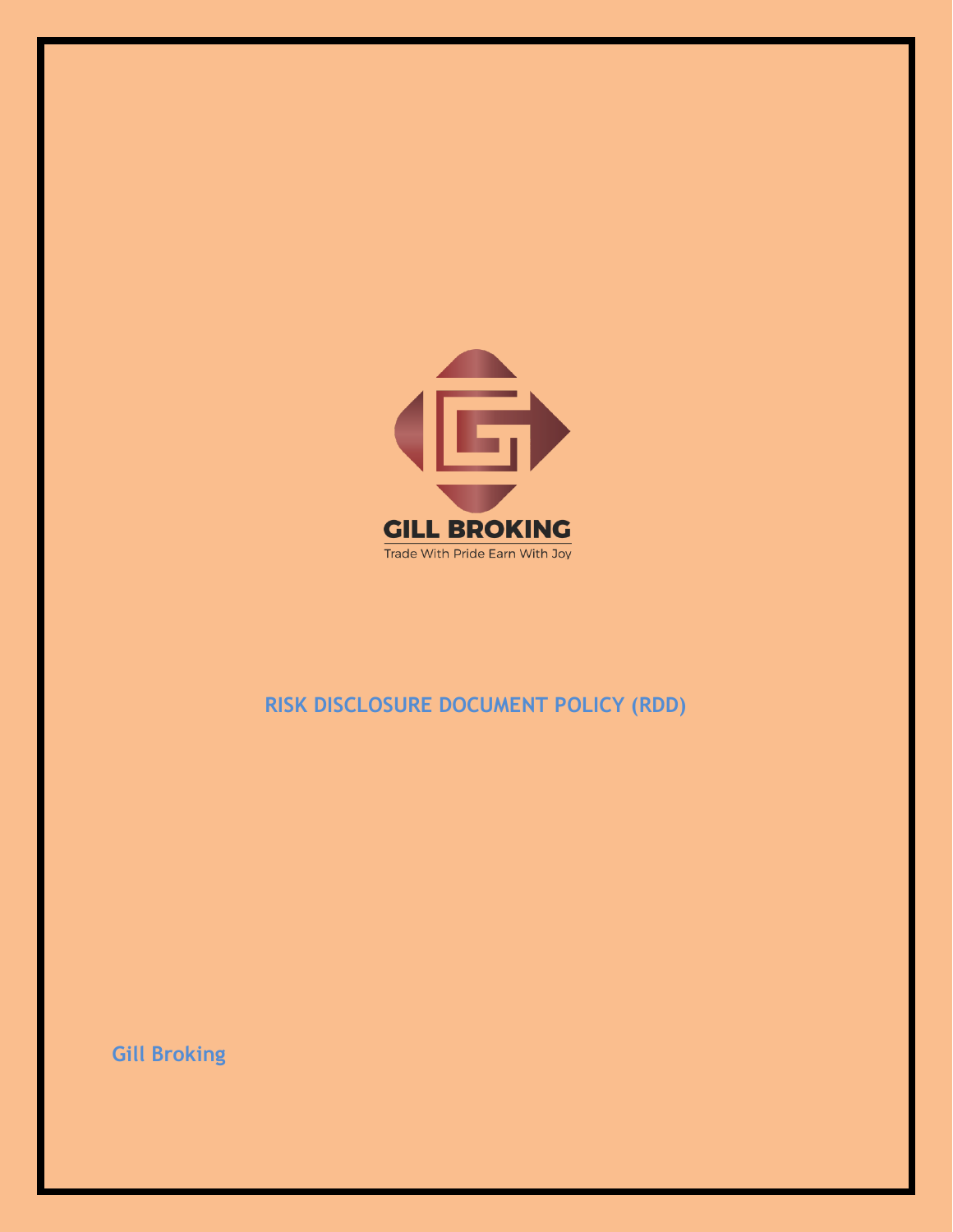

# **RISK DISCLOSURE DOCUMENT POLICY (RDD)**

**Gill Broking**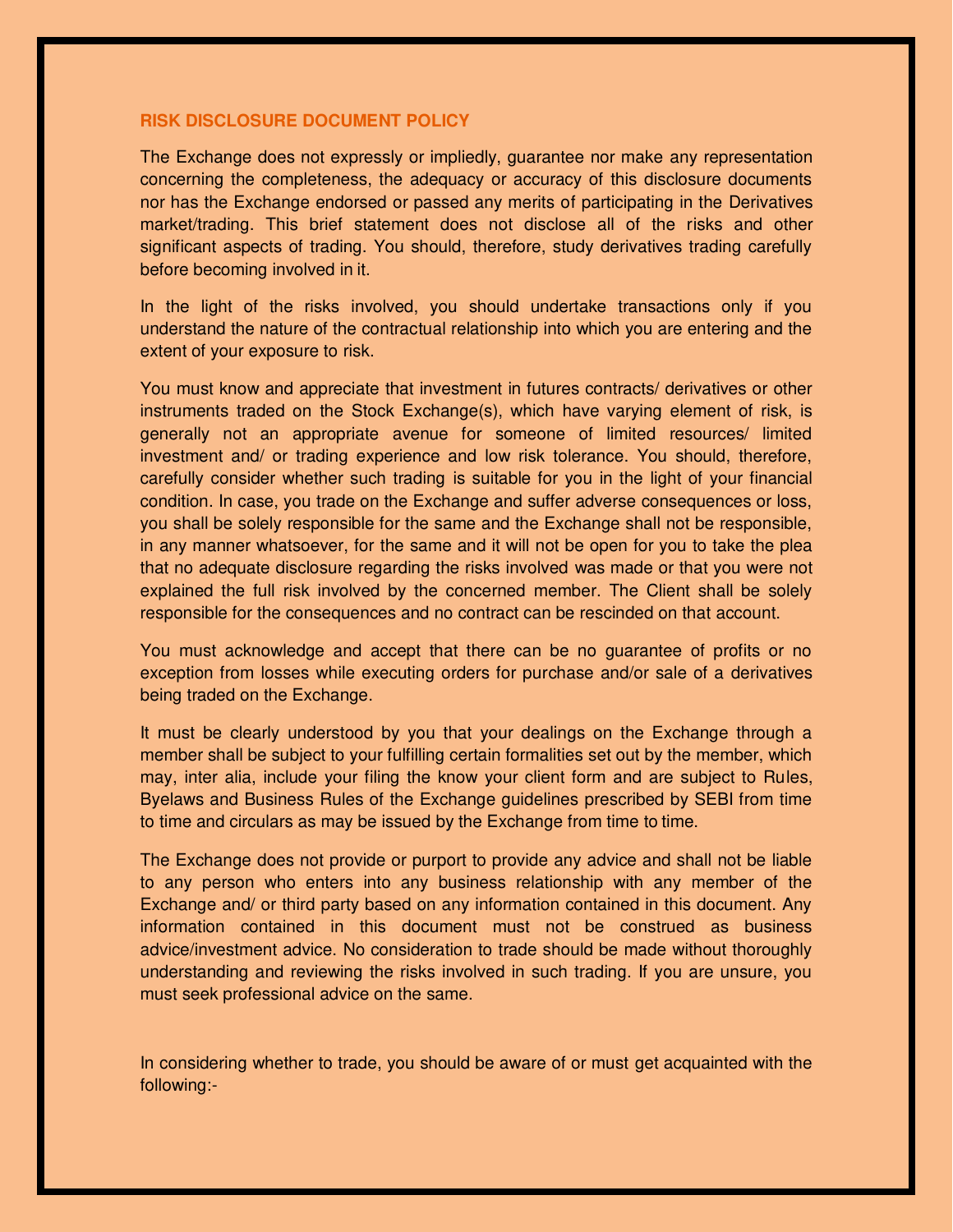### **RISK DISCLOSURE DOCUMENT POLICY**

The Exchange does not expressly or impliedly, guarantee nor make any representation concerning the completeness, the adequacy or accuracy of this disclosure documents nor has the Exchange endorsed or passed any merits of participating in the Derivatives market/trading. This brief statement does not disclose all of the risks and other significant aspects of trading. You should, therefore, study derivatives trading carefully before becoming involved in it.

In the light of the risks involved, you should undertake transactions only if you understand the nature of the contractual relationship into which you are entering and the extent of your exposure to risk.

You must know and appreciate that investment in futures contracts/ derivatives or other instruments traded on the Stock Exchange(s), which have varying element of risk, is generally not an appropriate avenue for someone of limited resources/ limited investment and/ or trading experience and low risk tolerance. You should, therefore, carefully consider whether such trading is suitable for you in the light of your financial condition. In case, you trade on the Exchange and suffer adverse consequences or loss, you shall be solely responsible for the same and the Exchange shall not be responsible, in any manner whatsoever, for the same and it will not be open for you to take the plea that no adequate disclosure regarding the risks involved was made or that you were not explained the full risk involved by the concerned member. The Client shall be solely responsible for the consequences and no contract can be rescinded on that account.

You must acknowledge and accept that there can be no guarantee of profits or no exception from losses while executing orders for purchase and/or sale of a derivatives being traded on the Exchange.

It must be clearly understood by you that your dealings on the Exchange through a member shall be subject to your fulfilling certain formalities set out by the member, which may, inter alia, include your filing the know your client form and are subject to Rules, Byelaws and Business Rules of the Exchange guidelines prescribed by SEBI from time to time and circulars as may be issued by the Exchange from time to time.

The Exchange does not provide or purport to provide any advice and shall not be liable to any person who enters into any business relationship with any member of the Exchange and/ or third party based on any information contained in this document. Any information contained in this document must not be construed as business advice/investment advice. No consideration to trade should be made without thoroughly understanding and reviewing the risks involved in such trading. If you are unsure, you must seek professional advice on the same.

In considering whether to trade, you should be aware of or must get acquainted with the following:-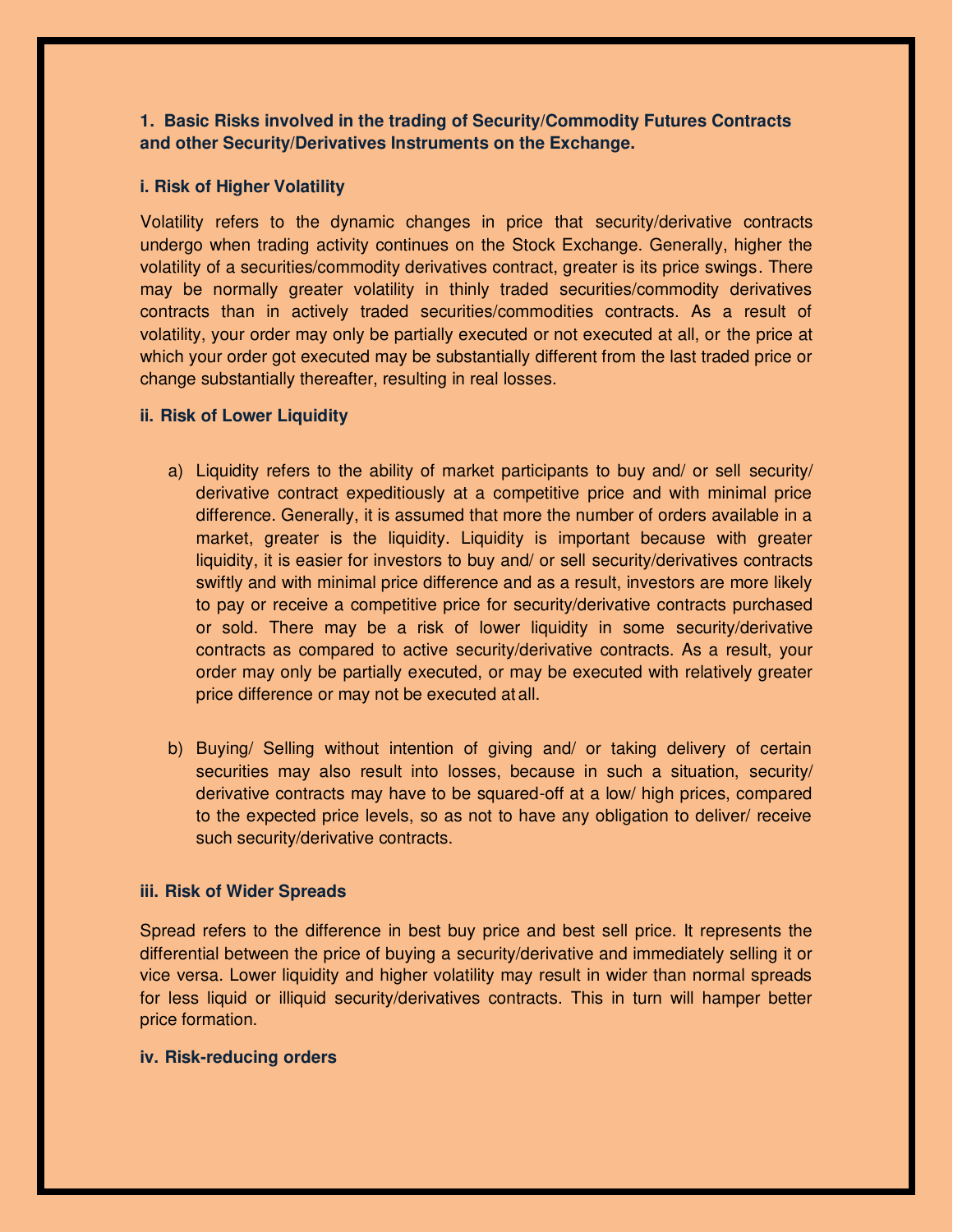# **1. Basic Risks involved in the trading of Security/Commodity Futures Contracts and other Security/Derivatives Instruments on the Exchange.**

## **i. Risk of Higher Volatility**

Volatility refers to the dynamic changes in price that security/derivative contracts undergo when trading activity continues on the Stock Exchange. Generally, higher the volatility of a securities/commodity derivatives contract, greater is its price swings. There may be normally greater volatility in thinly traded securities/commodity derivatives contracts than in actively traded securities/commodities contracts. As a result of volatility, your order may only be partially executed or not executed at all, or the price at which your order got executed may be substantially different from the last traded price or change substantially thereafter, resulting in real losses.

### **ii. Risk of Lower Liquidity**

- a) Liquidity refers to the ability of market participants to buy and/ or sell security/ derivative contract expeditiously at a competitive price and with minimal price difference. Generally, it is assumed that more the number of orders available in a market, greater is the liquidity. Liquidity is important because with greater liquidity, it is easier for investors to buy and/ or sell security/derivatives contracts swiftly and with minimal price difference and as a result, investors are more likely to pay or receive a competitive price for security/derivative contracts purchased or sold. There may be a risk of lower liquidity in some security/derivative contracts as compared to active security/derivative contracts. As a result, your order may only be partially executed, or may be executed with relatively greater price difference or may not be executed at all.
- b) Buying/ Selling without intention of giving and/ or taking delivery of certain securities may also result into losses, because in such a situation, security/ derivative contracts may have to be squared-off at a low/ high prices, compared to the expected price levels, so as not to have any obligation to deliver/ receive such security/derivative contracts.

#### **iii. Risk of Wider Spreads**

Spread refers to the difference in best buy price and best sell price. It represents the differential between the price of buying a security/derivative and immediately selling it or vice versa. Lower liquidity and higher volatility may result in wider than normal spreads for less liquid or illiquid security/derivatives contracts. This in turn will hamper better price formation.

#### **iv. Risk-reducing orders**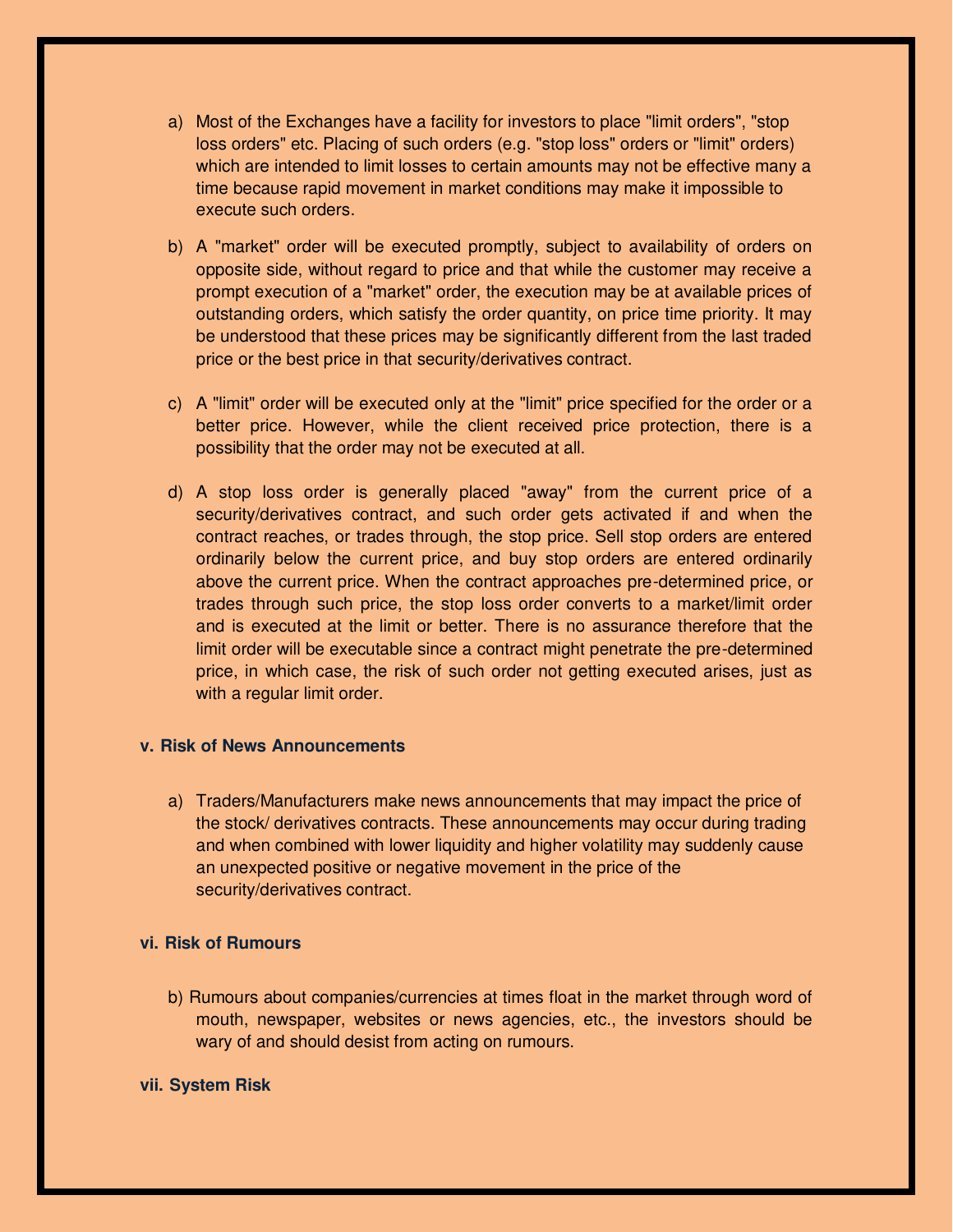- a) Most of the Exchanges have a facility for investors to place "limit orders", "stop loss orders" etc. Placing of such orders (e.g. "stop loss" orders or "limit" orders) which are intended to limit losses to certain amounts may not be effective many a time because rapid movement in market conditions may make it impossible to execute such orders.
- b) A "market" order will be executed promptly, subject to availability of orders on opposite side, without regard to price and that while the customer may receive a prompt execution of a "market" order, the execution may be at available prices of outstanding orders, which satisfy the order quantity, on price time priority. It may be understood that these prices may be significantly different from the last traded price or the best price in that security/derivatives contract.
- c) A "limit" order will be executed only at the "limit" price specified for the order or a better price. However, while the client received price protection, there is a possibility that the order may not be executed at all.
- d) A stop loss order is generally placed "away" from the current price of a security/derivatives contract, and such order gets activated if and when the contract reaches, or trades through, the stop price. Sell stop orders are entered ordinarily below the current price, and buy stop orders are entered ordinarily above the current price. When the contract approaches pre-determined price, or trades through such price, the stop loss order converts to a market/limit order and is executed at the limit or better. There is no assurance therefore that the limit order will be executable since a contract might penetrate the pre-determined price, in which case, the risk of such order not getting executed arises, just as with a regular limit order.

## **v. Risk of News Announcements**

a) Traders/Manufacturers make news announcements that may impact the price of the stock/ derivatives contracts. These announcements may occur during trading and when combined with lower liquidity and higher volatility may suddenly cause an unexpected positive or negative movement in the price of the security/derivatives contract.

# **vi. Risk of Rumours**

b) Rumours about companies/currencies at times float in the market through word of mouth, newspaper, websites or news agencies, etc., the investors should be wary of and should desist from acting on rumours.

### **vii. System Risk**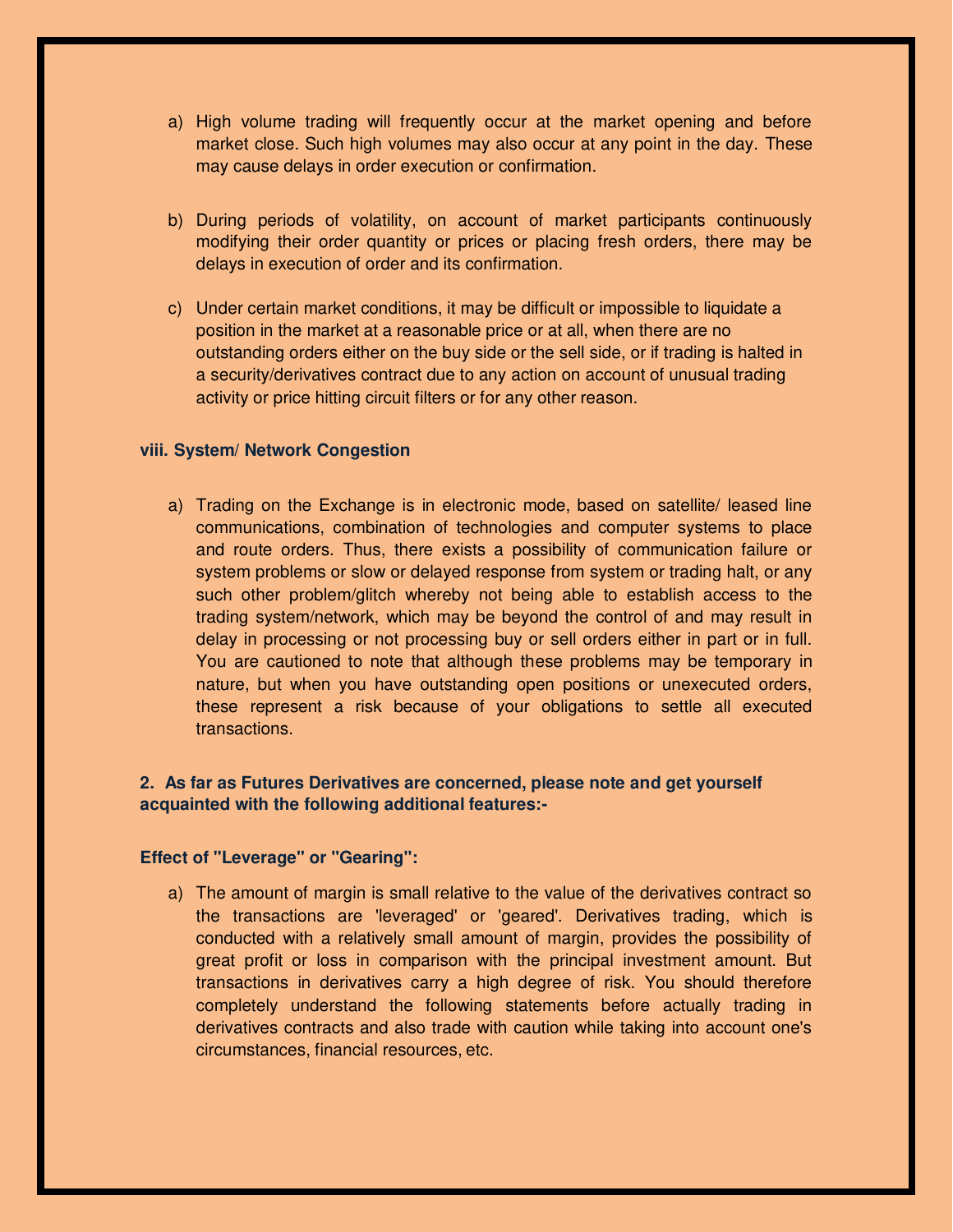- a) High volume trading will frequently occur at the market opening and before market close. Such high volumes may also occur at any point in the day. These may cause delays in order execution or confirmation.
- b) During periods of volatility, on account of market participants continuously modifying their order quantity or prices or placing fresh orders, there may be delays in execution of order and its confirmation.
- c) Under certain market conditions, it may be difficult or impossible to liquidate a position in the market at a reasonable price or at all, when there are no outstanding orders either on the buy side or the sell side, or if trading is halted in a security/derivatives contract due to any action on account of unusual trading activity or price hitting circuit filters or for any other reason.

#### **viii. System/ Network Congestion**

a) Trading on the Exchange is in electronic mode, based on satellite/ leased line communications, combination of technologies and computer systems to place and route orders. Thus, there exists a possibility of communication failure or system problems or slow or delayed response from system or trading halt, or any such other problem/glitch whereby not being able to establish access to the trading system/network, which may be beyond the control of and may result in delay in processing or not processing buy or sell orders either in part or in full. You are cautioned to note that although these problems may be temporary in nature, but when you have outstanding open positions or unexecuted orders, these represent a risk because of your obligations to settle all executed transactions.

# **2. As far as Futures Derivatives are concerned, please note and get yourself acquainted with the following additional features:-**

#### **Effect of "Leverage" or "Gearing":**

a) The amount of margin is small relative to the value of the derivatives contract so the transactions are 'leveraged' or 'geared'. Derivatives trading, which is conducted with a relatively small amount of margin, provides the possibility of great profit or loss in comparison with the principal investment amount. But transactions in derivatives carry a high degree of risk. You should therefore completely understand the following statements before actually trading in derivatives contracts and also trade with caution while taking into account one's circumstances, financial resources, etc.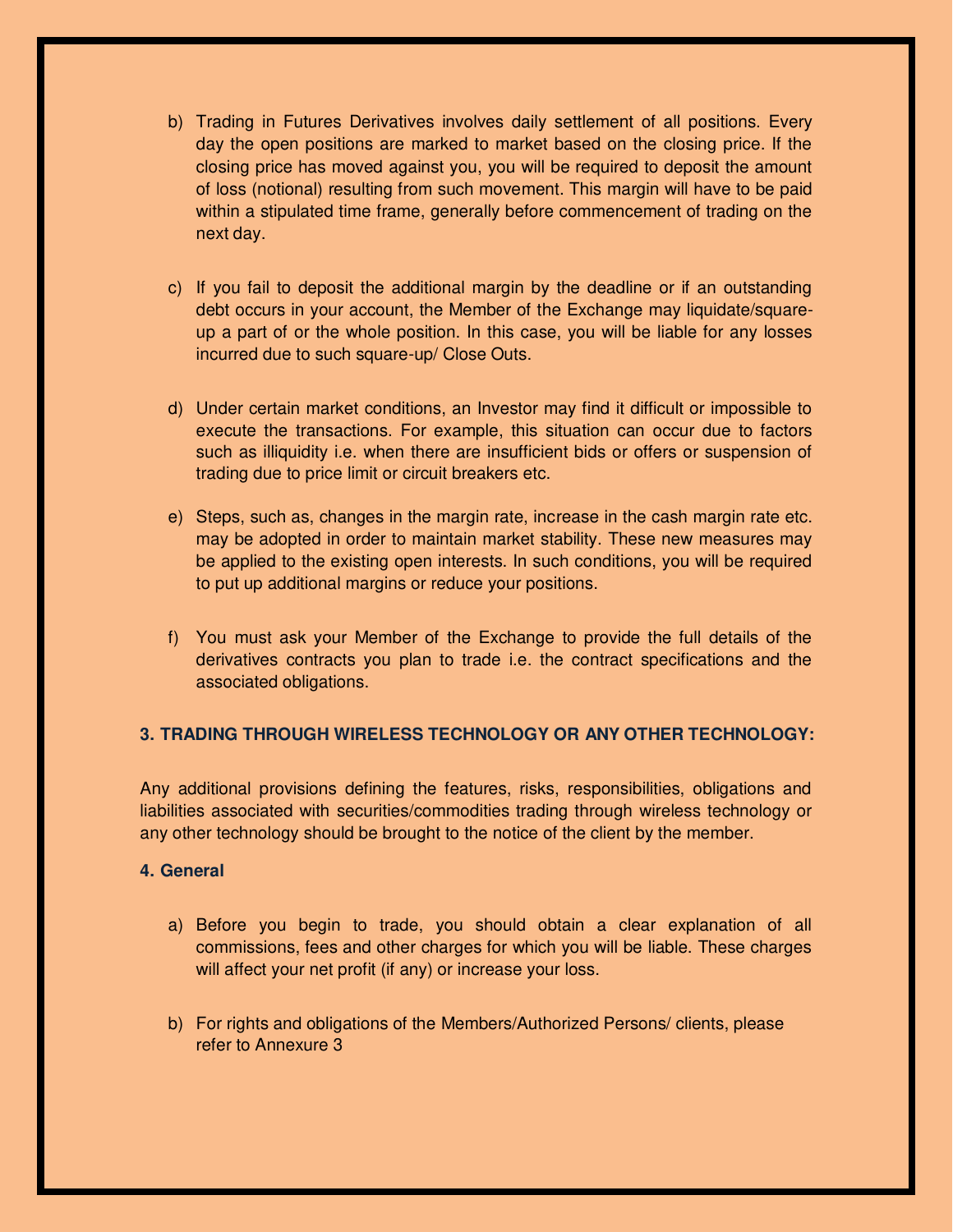- b) Trading in Futures Derivatives involves daily settlement of all positions. Every day the open positions are marked to market based on the closing price. If the closing price has moved against you, you will be required to deposit the amount of loss (notional) resulting from such movement. This margin will have to be paid within a stipulated time frame, generally before commencement of trading on the next day.
- c) If you fail to deposit the additional margin by the deadline or if an outstanding debt occurs in your account, the Member of the Exchange may liquidate/squareup a part of or the whole position. In this case, you will be liable for any losses incurred due to such square-up/ Close Outs.
- d) Under certain market conditions, an Investor may find it difficult or impossible to execute the transactions. For example, this situation can occur due to factors such as illiquidity i.e. when there are insufficient bids or offers or suspension of trading due to price limit or circuit breakers etc.
- e) Steps, such as, changes in the margin rate, increase in the cash margin rate etc. may be adopted in order to maintain market stability. These new measures may be applied to the existing open interests. In such conditions, you will be required to put up additional margins or reduce your positions.
- f) You must ask your Member of the Exchange to provide the full details of the derivatives contracts you plan to trade i.e. the contract specifications and the associated obligations.

# **3. TRADING THROUGH WIRELESS TECHNOLOGY OR ANY OTHER TECHNOLOGY:**

Any additional provisions defining the features, risks, responsibilities, obligations and liabilities associated with securities/commodities trading through wireless technology or any other technology should be brought to the notice of the client by the member.

### **4. General**

- a) Before you begin to trade, you should obtain a clear explanation of all commissions, fees and other charges for which you will be liable. These charges will affect your net profit (if any) or increase your loss.
- b) For rights and obligations of the Members/Authorized Persons/ clients, please refer to Annexure 3